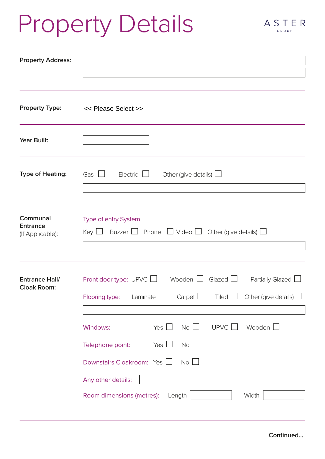# Property Details



| << Please Select >>                                                                                                                                                                                         |  |  |  |
|-------------------------------------------------------------------------------------------------------------------------------------------------------------------------------------------------------------|--|--|--|
|                                                                                                                                                                                                             |  |  |  |
| Electric  <br>Gas $\Box$<br>Other (give details) $\Box$                                                                                                                                                     |  |  |  |
| Type of entry System<br>Key $\Box$ Buzzer $\Box$ Phone $\Box$ Video $\Box$ Other (give details) $\Box$                                                                                                      |  |  |  |
| Front door type: UPVC $\Box$ Wooden $\Box$ Glazed $\Box$<br>Partially Glazed<br>Flooring type: Laminate $\Box$ Carpet $\Box$ Tiled $\Box$ Other (give details) $\Box$                                       |  |  |  |
| <b>UPVC</b><br>Wooden L<br>Yes<br>$No \Box$<br>Windows:<br>No L<br>Yes<br>Telephone point:<br>$No \perp$<br>Downstairs Cloakroom: Yes<br>Any other details:<br>Width<br>Room dimensions (metres):<br>Length |  |  |  |
|                                                                                                                                                                                                             |  |  |  |

**Continued...**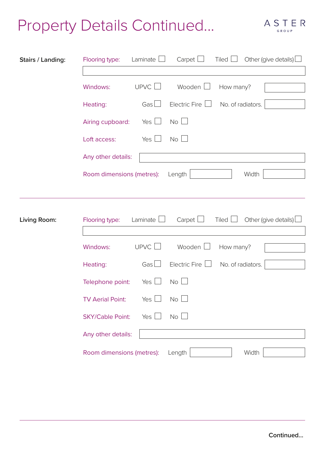

| Stairs / Landing:   | Flooring type:            | Laminate                        | Carpet I<br>$\blacksquare$ | Tiled $\Box$<br>Other (give details) $\Box$ |
|---------------------|---------------------------|---------------------------------|----------------------------|---------------------------------------------|
|                     |                           |                                 |                            |                                             |
|                     | Windows:                  | UPVC <sup>[</sup>               | Wooden                     | How many?                                   |
|                     | Heating:                  | Gas $\Box$                      | Electric Fire              | No. of radiators.                           |
|                     | Airing cupboard:          | Yes                             | No                         |                                             |
|                     | Loft access:              | Yes                             | No l                       |                                             |
|                     | Any other details:        |                                 |                            |                                             |
|                     | Room dimensions (metres): |                                 | Length                     | Width                                       |
|                     |                           |                                 |                            |                                             |
| <b>Living Room:</b> | Flooring type:            | Laminate                        | Carpet I<br>$\sim$         | Other (give details) $\Box$<br>Tiled        |
|                     |                           |                                 |                            |                                             |
|                     | Windows:                  | UPVC $\Box$                     | Wooden                     | How many?                                   |
|                     | Heating:                  | Gas<br>$\overline{\phantom{0}}$ | Electric Fire              | No. of radiators.                           |
|                     | Telephone point:          | Yes I                           | No                         |                                             |
|                     | <b>TV Aerial Point:</b>   | Yes $\Box$ No $\Box$            |                            |                                             |
|                     | <b>SKY/Cable Point:</b>   | Yes $\Box$                      | $No$ $\Box$                |                                             |
|                     | Any other details:        |                                 |                            |                                             |
|                     | Room dimensions (metres): |                                 | Length                     | Width                                       |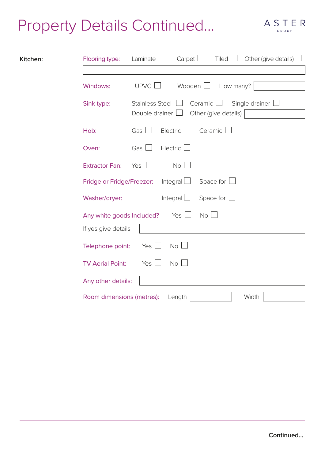

| Kitchen: | Flooring type:            | Other (give details)<br>Tiled<br>Laminate<br>Carpet I                                         |
|----------|---------------------------|-----------------------------------------------------------------------------------------------|
|          | Windows:                  | <b>UPVC</b><br>Wooden $\Box$<br>How many?                                                     |
|          | Sink type:                | Ceramic<br>Stainless Steel<br>Single drainer<br>Double drainer $\Box$<br>Other (give details) |
|          | Hob:                      | Electric<br>Ceramic<br>Gas                                                                    |
|          | Oven:                     | Electric $\Box$<br>Gas $\Box$                                                                 |
|          | <b>Extractor Fan:</b>     | No<br>Yes                                                                                     |
|          | Fridge or Fridge/Freezer: | Integral $\Box$<br>Space for $\Box$                                                           |
|          | Washer/dryer:             | Integral<br>Space for $\Box$                                                                  |
|          | Any white goods Included? | $No$ $\Box$<br>Yes $\Box$                                                                     |
|          | If yes give details       |                                                                                               |
|          | Telephone point:          | Yes $\Box$<br>No l                                                                            |
|          | <b>TV Aerial Point:</b>   | No l<br>Yes                                                                                   |
|          | Any other details:        |                                                                                               |
|          | Room dimensions (metres): | Width<br>Length                                                                               |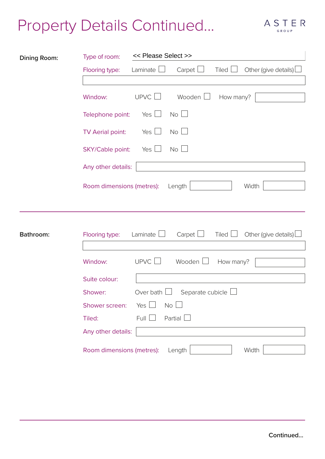

| <b>Dining Room:</b> | << Please Select >><br>Type of room: |             |                  |              |                             |
|---------------------|--------------------------------------|-------------|------------------|--------------|-----------------------------|
|                     | Flooring type:                       | Laminate    | Carpet           | Tiled $\Box$ | Other (give details) $\Box$ |
|                     |                                      |             |                  |              |                             |
|                     | Window:                              | <b>UPVC</b> | Wooden           | How many?    |                             |
|                     | Telephone point:                     | Yes $\Box$  | $No$ $\Box$      |              |                             |
|                     | <b>TV Aerial point:</b>              | Yes         | No l             |              |                             |
|                     | SKY/Cable point:                     | Yes l       | No l             |              |                             |
|                     | Any other details:                   |             |                  |              |                             |
|                     | Room dimensions (metres):            |             | Length           |              | Width                       |
|                     |                                      |             |                  |              |                             |
|                     |                                      |             |                  |              |                             |
| <b>Bathroom:</b>    | Flooring type:                       | Laminate    | Carpet           | Tiled        | Other (give details) $\Box$ |
|                     | Window:                              | <b>UPVC</b> | Wooden           | How many?    |                             |
|                     | Suite colour:                        |             |                  |              |                             |
|                     | Shower:                              | Over bath   | Separate cubicle |              |                             |
|                     | Shower screen:                       | Yes         | No               |              |                             |
|                     | Tiled:                               | Full $\Box$ | Partial          |              |                             |
|                     | Any other details:                   |             |                  |              |                             |
|                     | Room dimensions (metres):            |             | Length           |              | Width                       |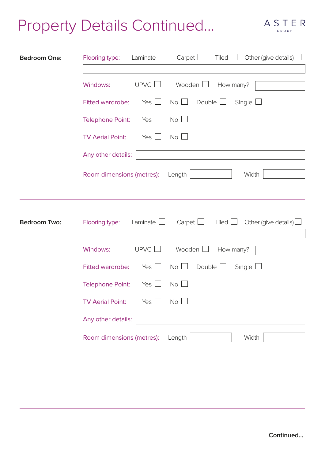

| <b>Bedroom One:</b> | Carpet<br>Tiled  <br>Other (give details) $\Box$<br>Flooring type:<br>Laminate  |
|---------------------|---------------------------------------------------------------------------------|
|                     | UPVC $\Box$<br>Wooden $\Box$<br>Windows:<br>How many?                           |
|                     | Double $\Box$<br>Yes $\Box$<br>$No$ $\Box$<br>Single $\Box$<br>Fitted wardrobe: |
|                     | $No \perp$<br>Yes $\Box$<br><b>Telephone Point:</b>                             |
|                     | $No$ $\Box$<br>Yes $\Box$<br><b>TV Aerial Point:</b>                            |
|                     | Any other details:                                                              |
|                     | Width<br>Room dimensions (metres):<br>Length                                    |
|                     |                                                                                 |
|                     |                                                                                 |
| <b>Bedroom Two:</b> | Carpet<br>Tiled L<br>Other (give details) $\Box$<br>Flooring type:<br>Laminate  |
|                     | <b>UPVC</b><br>Wooden L<br>Windows:<br>How many?                                |
|                     | Double $\Box$<br>Yes $\Box$<br>$No$ $\Box$<br>Single $\Box$<br>Fitted wardrobe: |
|                     | Yes $\Box$<br>No l<br>Telephone Point:                                          |
|                     | No<br>Yes  <br><b>TV Aerial Point:</b>                                          |
|                     | Any other details:                                                              |
|                     | Room dimensions (metres):<br>Length<br>Width                                    |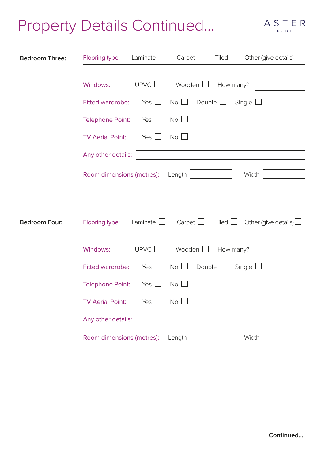

| <b>Bedroom Three:</b> | Carpet<br>Tiled  <br>Other (give details) $\Box$<br>Flooring type:<br>Laminate        |
|-----------------------|---------------------------------------------------------------------------------------|
|                       |                                                                                       |
|                       | UPVC $\Box$<br>Wooden L<br>Windows:<br>How many?                                      |
|                       | Double $\Box$<br>Yes $\Box$<br>$No$ $\Box$<br>Single $\Box$<br>Fitted wardrobe:       |
|                       | $No$ $\Box$<br>Yes $\Box$<br>Telephone Point:                                         |
|                       | Yes $\Box$<br>$No$ $\Box$<br><b>TV Aerial Point:</b>                                  |
|                       | Any other details:                                                                    |
|                       | Width<br>Room dimensions (metres):<br>Length                                          |
|                       |                                                                                       |
|                       |                                                                                       |
| <b>Bedroom Four:</b>  | Carpet $\Box$<br>Other (give details) $\Box$<br>Laminate<br>Tiled  <br>Flooring type: |
|                       |                                                                                       |
|                       | <b>UPVC</b><br>Wooden L<br>Windows:<br>How many?                                      |
|                       | Double $\Box$<br>Yes $\Box$<br>$No \Box$<br>Single $\Box$<br>Fitted wardrobe:         |
|                       | No l<br>Yes $\Box$<br>Telephone Point:                                                |
|                       | No<br>Yes<br><b>TV Aerial Point:</b>                                                  |
|                       | Any other details:                                                                    |
|                       | Room dimensions (metres):<br>Length<br>Width                                          |